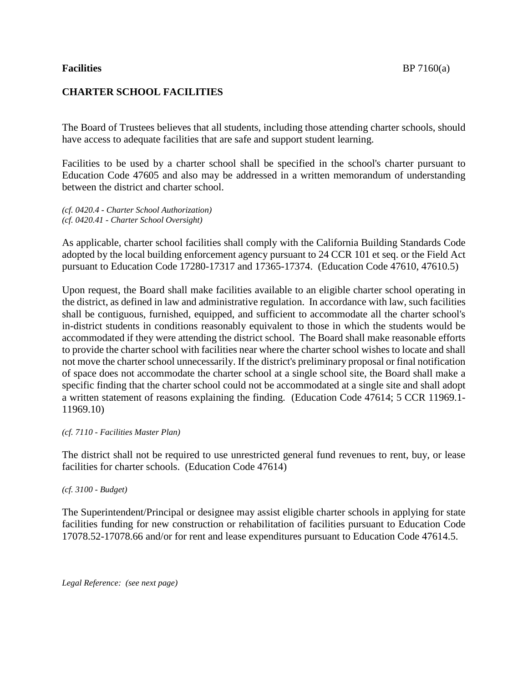## **CHARTER SCHOOL FACILITIES**

The Board of Trustees believes that all students, including those attending charter schools, should have access to adequate facilities that are safe and support student learning.

Facilities to be used by a charter school shall be specified in the school's charter pursuant to Education Code 47605 and also may be addressed in a written memorandum of understanding between the district and charter school.

*(cf. 0420.4 - Charter School Authorization) (cf. 0420.41 - Charter School Oversight)*

As applicable, charter school facilities shall comply with the California Building Standards Code adopted by the local building enforcement agency pursuant to 24 CCR 101 et seq. or the Field Act pursuant to Education Code 17280-17317 and 17365-17374. (Education Code 47610, 47610.5)

Upon request, the Board shall make facilities available to an eligible charter school operating in the district, as defined in law and administrative regulation. In accordance with law, such facilities shall be contiguous, furnished, equipped, and sufficient to accommodate all the charter school's in-district students in conditions reasonably equivalent to those in which the students would be accommodated if they were attending the district school. The Board shall make reasonable efforts to provide the charter school with facilities near where the charter school wishes to locate and shall not move the charter school unnecessarily. If the district's preliminary proposal or final notification of space does not accommodate the charter school at a single school site, the Board shall make a specific finding that the charter school could not be accommodated at a single site and shall adopt a written statement of reasons explaining the finding. (Education Code 47614; 5 CCR 11969.1- 11969.10)

*(cf. 7110 - Facilities Master Plan)*

The district shall not be required to use unrestricted general fund revenues to rent, buy, or lease facilities for charter schools. (Education Code 47614)

*(cf. 3100 - Budget)*

The Superintendent/Principal or designee may assist eligible charter schools in applying for state facilities funding for new construction or rehabilitation of facilities pursuant to Education Code 17078.52-17078.66 and/or for rent and lease expenditures pursuant to Education Code 47614.5.

*Legal Reference: (see next page)*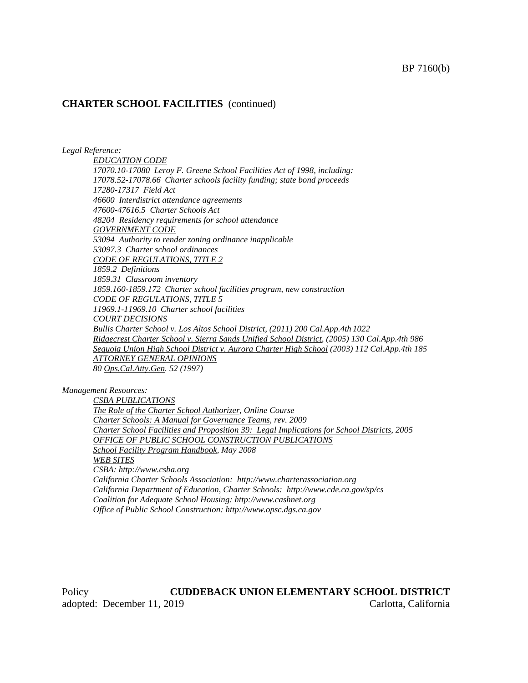*Legal Reference:*

*EDUCATION CODE 17070.10-17080 Leroy F. Greene School Facilities Act of 1998, including: 17078.52-17078.66 Charter schools facility funding; state bond proceeds 17280-17317 Field Act 46600 Interdistrict attendance agreements 47600-47616.5 Charter Schools Act 48204 Residency requirements for school attendance GOVERNMENT CODE 53094 Authority to render zoning ordinance inapplicable 53097.3 Charter school ordinances CODE OF REGULATIONS, TITLE 2 1859.2 Definitions 1859.31 Classroom inventory 1859.160-1859.172 Charter school facilities program, new construction CODE OF REGULATIONS, TITLE 5 11969.1-11969.10 Charter school facilities COURT DECISIONS Bullis Charter School v. Los Altos School District, (2011) 200 Cal.App.4th 1022 Ridgecrest Charter School v. Sierra Sands Unified School District, (2005) 130 Cal.App.4th 986 Sequoia Union High School District v. Aurora Charter High School (2003) 112 Cal.App.4th 185 ATTORNEY GENERAL OPINIONS 80 Ops.Cal.Atty.Gen. 52 (1997)*

*Management Resources:*

*CSBA PUBLICATIONS The Role of the Charter School Authorizer, Online Course Charter Schools: A Manual for Governance Teams, rev. 2009 Charter School Facilities and Proposition 39: Legal Implications for School Districts, 2005 OFFICE OF PUBLIC SCHOOL CONSTRUCTION PUBLICATIONS School Facility Program Handbook, May 2008 WEB SITES CSBA: http://www.csba.org California Charter Schools Association: http://www.charterassociation.org California Department of Education, Charter Schools: http://www.cde.ca.gov/sp/cs Coalition for Adequate School Housing: http://www.cashnet.org Office of Public School Construction: http://www.opsc.dgs.ca.gov*

Policy **CUDDEBACK UNION ELEMENTARY SCHOOL DISTRICT** adopted: December 11, 2019 Carlotta, California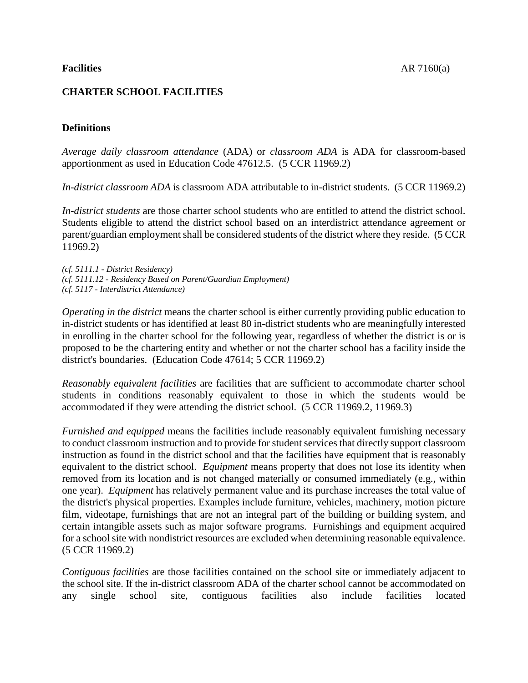# **CHARTER SCHOOL FACILITIES**

# **Definitions**

*Average daily classroom attendance* (ADA) or *classroom ADA* is ADA for classroom-based apportionment as used in Education Code 47612.5. (5 CCR 11969.2)

*In-district classroom ADA* is classroom ADA attributable to in-district students. (5 CCR 11969.2)

*In-district students* are those charter school students who are entitled to attend the district school. Students eligible to attend the district school based on an interdistrict attendance agreement or parent/guardian employment shall be considered students of the district where they reside. (5 CCR 11969.2)

*(cf. 5111.1 - District Residency) (cf. 5111.12 - Residency Based on Parent/Guardian Employment) (cf. 5117 - Interdistrict Attendance)*

*Operating in the district* means the charter school is either currently providing public education to in-district students or has identified at least 80 in-district students who are meaningfully interested in enrolling in the charter school for the following year, regardless of whether the district is or is proposed to be the chartering entity and whether or not the charter school has a facility inside the district's boundaries. (Education Code 47614; 5 CCR 11969.2)

*Reasonably equivalent facilities* are facilities that are sufficient to accommodate charter school students in conditions reasonably equivalent to those in which the students would be accommodated if they were attending the district school. (5 CCR 11969.2, 11969.3)

*Furnished and equipped* means the facilities include reasonably equivalent furnishing necessary to conduct classroom instruction and to provide for student services that directly support classroom instruction as found in the district school and that the facilities have equipment that is reasonably equivalent to the district school. *Equipment* means property that does not lose its identity when removed from its location and is not changed materially or consumed immediately (e.g., within one year). *Equipment* has relatively permanent value and its purchase increases the total value of the district's physical properties. Examples include furniture, vehicles, machinery, motion picture film, videotape, furnishings that are not an integral part of the building or building system, and certain intangible assets such as major software programs. Furnishings and equipment acquired for a school site with nondistrict resources are excluded when determining reasonable equivalence. (5 CCR 11969.2)

*Contiguous facilities* are those facilities contained on the school site or immediately adjacent to the school site. If the in-district classroom ADA of the charter school cannot be accommodated on any single school site, contiguous facilities also include facilities located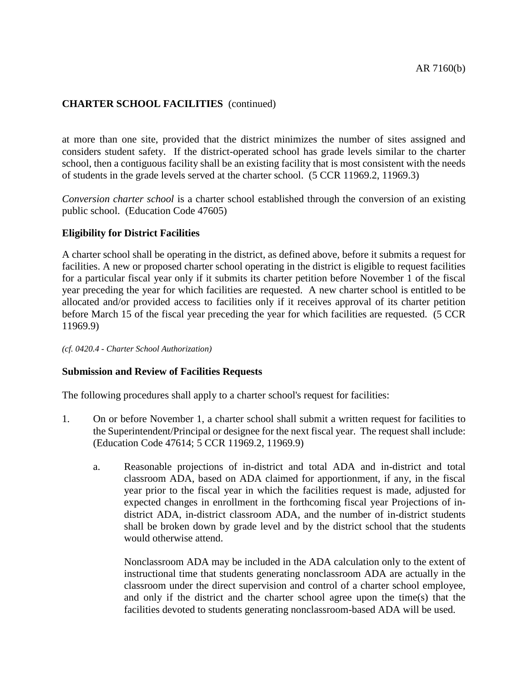at more than one site, provided that the district minimizes the number of sites assigned and considers student safety. If the district-operated school has grade levels similar to the charter school, then a contiguous facility shall be an existing facility that is most consistent with the needs of students in the grade levels served at the charter school. (5 CCR 11969.2, 11969.3)

*Conversion charter school* is a charter school established through the conversion of an existing public school. (Education Code 47605)

## **Eligibility for District Facilities**

A charter school shall be operating in the district, as defined above, before it submits a request for facilities. A new or proposed charter school operating in the district is eligible to request facilities for a particular fiscal year only if it submits its charter petition before November 1 of the fiscal year preceding the year for which facilities are requested. A new charter school is entitled to be allocated and/or provided access to facilities only if it receives approval of its charter petition before March 15 of the fiscal year preceding the year for which facilities are requested. (5 CCR 11969.9)

*(cf. 0420.4 - Charter School Authorization)*

### **Submission and Review of Facilities Requests**

The following procedures shall apply to a charter school's request for facilities:

- 1. On or before November 1, a charter school shall submit a written request for facilities to the Superintendent/Principal or designee for the next fiscal year. The request shall include: (Education Code 47614; 5 CCR 11969.2, 11969.9)
	- a. Reasonable projections of in-district and total ADA and in-district and total classroom ADA, based on ADA claimed for apportionment, if any, in the fiscal year prior to the fiscal year in which the facilities request is made, adjusted for expected changes in enrollment in the forthcoming fiscal year Projections of indistrict ADA, in-district classroom ADA, and the number of in-district students shall be broken down by grade level and by the district school that the students would otherwise attend.

Nonclassroom ADA may be included in the ADA calculation only to the extent of instructional time that students generating nonclassroom ADA are actually in the classroom under the direct supervision and control of a charter school employee, and only if the district and the charter school agree upon the time(s) that the facilities devoted to students generating nonclassroom-based ADA will be used.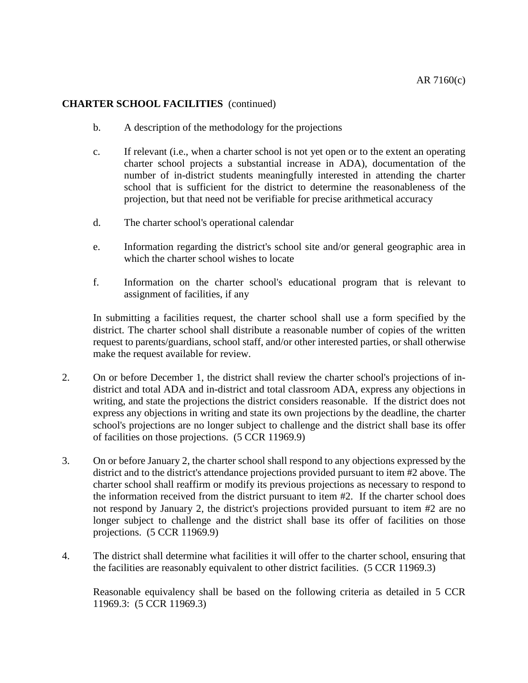- b. A description of the methodology for the projections
- c. If relevant (i.e., when a charter school is not yet open or to the extent an operating charter school projects a substantial increase in ADA), documentation of the number of in-district students meaningfully interested in attending the charter school that is sufficient for the district to determine the reasonableness of the projection, but that need not be verifiable for precise arithmetical accuracy
- d. The charter school's operational calendar
- e. Information regarding the district's school site and/or general geographic area in which the charter school wishes to locate
- f. Information on the charter school's educational program that is relevant to assignment of facilities, if any

In submitting a facilities request, the charter school shall use a form specified by the district. The charter school shall distribute a reasonable number of copies of the written request to parents/guardians, school staff, and/or other interested parties, or shall otherwise make the request available for review.

- 2. On or before December 1, the district shall review the charter school's projections of indistrict and total ADA and in-district and total classroom ADA, express any objections in writing, and state the projections the district considers reasonable. If the district does not express any objections in writing and state its own projections by the deadline, the charter school's projections are no longer subject to challenge and the district shall base its offer of facilities on those projections. (5 CCR 11969.9)
- 3. On or before January 2, the charter school shall respond to any objections expressed by the district and to the district's attendance projections provided pursuant to item #2 above. The charter school shall reaffirm or modify its previous projections as necessary to respond to the information received from the district pursuant to item #2. If the charter school does not respond by January 2, the district's projections provided pursuant to item #2 are no longer subject to challenge and the district shall base its offer of facilities on those projections. (5 CCR 11969.9)
- 4. The district shall determine what facilities it will offer to the charter school, ensuring that the facilities are reasonably equivalent to other district facilities. (5 CCR 11969.3)

Reasonable equivalency shall be based on the following criteria as detailed in 5 CCR 11969.3: (5 CCR 11969.3)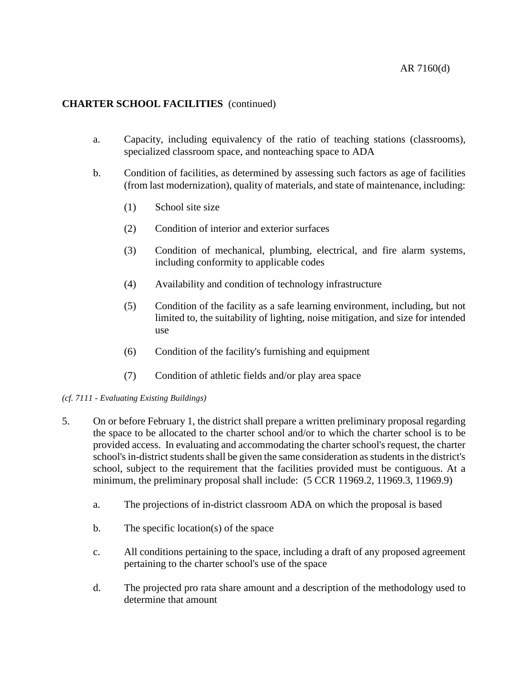- a. Capacity, including equivalency of the ratio of teaching stations (classrooms), specialized classroom space, and nonteaching space to ADA
- b. Condition of facilities, as determined by assessing such factors as age of facilities (from last modernization), quality of materials, and state of maintenance, including:
	- (1) School site size
	- (2) Condition of interior and exterior surfaces
	- (3) Condition of mechanical, plumbing, electrical, and fire alarm systems, including conformity to applicable codes
	- (4) Availability and condition of technology infrastructure
	- (5) Condition of the facility as a safe learning environment, including, but not limited to, the suitability of lighting, noise mitigation, and size for intended use
	- (6) Condition of the facility's furnishing and equipment
	- (7) Condition of athletic fields and/or play area space

### *(cf. 7111 - Evaluating Existing Buildings)*

- 5. On or before February 1, the district shall prepare a written preliminary proposal regarding the space to be allocated to the charter school and/or to which the charter school is to be provided access. In evaluating and accommodating the charter school's request, the charter school's in-district students shall be given the same consideration as students in the district's school, subject to the requirement that the facilities provided must be contiguous. At a minimum, the preliminary proposal shall include: (5 CCR 11969.2, 11969.3, 11969.9)
	- a. The projections of in-district classroom ADA on which the proposal is based
	- b. The specific location(s) of the space
	- c. All conditions pertaining to the space, including a draft of any proposed agreement pertaining to the charter school's use of the space
	- d. The projected pro rata share amount and a description of the methodology used to determine that amount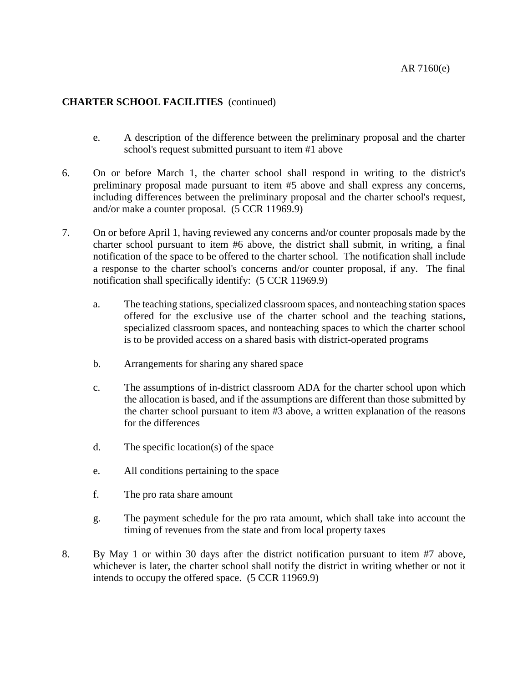- e. A description of the difference between the preliminary proposal and the charter school's request submitted pursuant to item #1 above
- 6. On or before March 1, the charter school shall respond in writing to the district's preliminary proposal made pursuant to item #5 above and shall express any concerns, including differences between the preliminary proposal and the charter school's request, and/or make a counter proposal. (5 CCR 11969.9)
- 7. On or before April 1, having reviewed any concerns and/or counter proposals made by the charter school pursuant to item #6 above, the district shall submit, in writing, a final notification of the space to be offered to the charter school. The notification shall include a response to the charter school's concerns and/or counter proposal, if any. The final notification shall specifically identify: (5 CCR 11969.9)
	- a. The teaching stations, specialized classroom spaces, and nonteaching station spaces offered for the exclusive use of the charter school and the teaching stations, specialized classroom spaces, and nonteaching spaces to which the charter school is to be provided access on a shared basis with district-operated programs
	- b. Arrangements for sharing any shared space
	- c. The assumptions of in-district classroom ADA for the charter school upon which the allocation is based, and if the assumptions are different than those submitted by the charter school pursuant to item #3 above, a written explanation of the reasons for the differences
	- d. The specific location(s) of the space
	- e. All conditions pertaining to the space
	- f. The pro rata share amount
	- g. The payment schedule for the pro rata amount, which shall take into account the timing of revenues from the state and from local property taxes
- 8. By May 1 or within 30 days after the district notification pursuant to item #7 above, whichever is later, the charter school shall notify the district in writing whether or not it intends to occupy the offered space. (5 CCR 11969.9)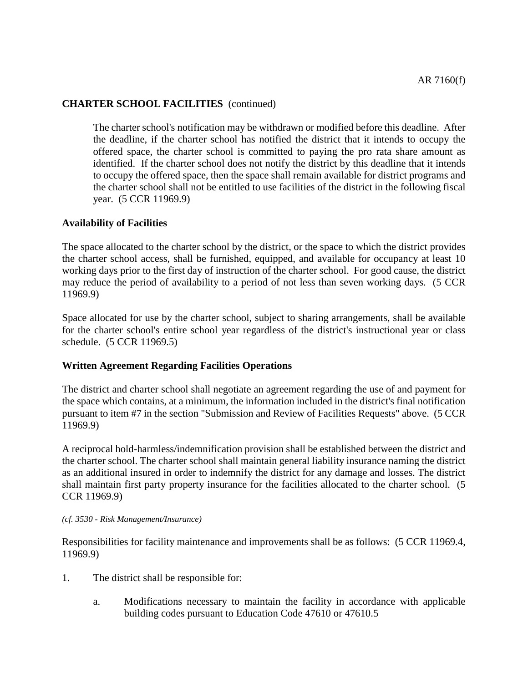The charter school's notification may be withdrawn or modified before this deadline. After the deadline, if the charter school has notified the district that it intends to occupy the offered space, the charter school is committed to paying the pro rata share amount as identified. If the charter school does not notify the district by this deadline that it intends to occupy the offered space, then the space shall remain available for district programs and the charter school shall not be entitled to use facilities of the district in the following fiscal year. (5 CCR 11969.9)

## **Availability of Facilities**

The space allocated to the charter school by the district, or the space to which the district provides the charter school access, shall be furnished, equipped, and available for occupancy at least 10 working days prior to the first day of instruction of the charter school. For good cause, the district may reduce the period of availability to a period of not less than seven working days. (5 CCR 11969.9)

Space allocated for use by the charter school, subject to sharing arrangements, shall be available for the charter school's entire school year regardless of the district's instructional year or class schedule. (5 CCR 11969.5)

### **Written Agreement Regarding Facilities Operations**

The district and charter school shall negotiate an agreement regarding the use of and payment for the space which contains, at a minimum, the information included in the district's final notification pursuant to item #7 in the section "Submission and Review of Facilities Requests" above. (5 CCR 11969.9)

A reciprocal hold-harmless/indemnification provision shall be established between the district and the charter school. The charter school shall maintain general liability insurance naming the district as an additional insured in order to indemnify the district for any damage and losses. The district shall maintain first party property insurance for the facilities allocated to the charter school. (5 CCR 11969.9)

#### *(cf. 3530 - Risk Management/Insurance)*

Responsibilities for facility maintenance and improvements shall be as follows: (5 CCR 11969.4, 11969.9)

- 1. The district shall be responsible for:
	- a. Modifications necessary to maintain the facility in accordance with applicable building codes pursuant to Education Code 47610 or 47610.5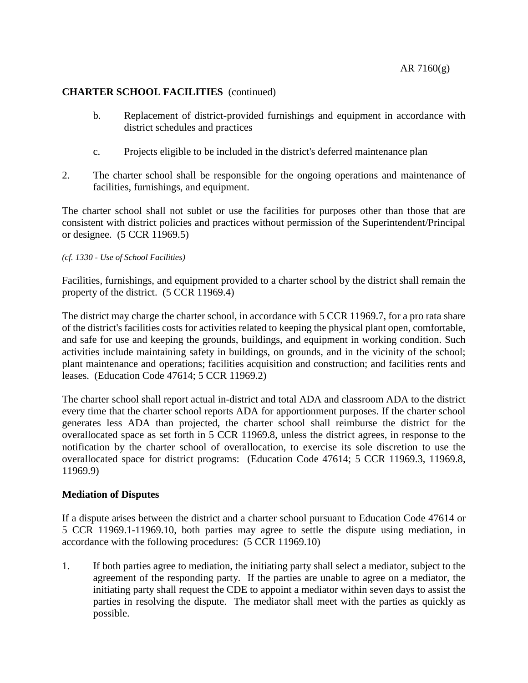- b. Replacement of district-provided furnishings and equipment in accordance with district schedules and practices
- c. Projects eligible to be included in the district's deferred maintenance plan
- 2. The charter school shall be responsible for the ongoing operations and maintenance of facilities, furnishings, and equipment.

The charter school shall not sublet or use the facilities for purposes other than those that are consistent with district policies and practices without permission of the Superintendent/Principal or designee. (5 CCR 11969.5)

## *(cf. 1330 - Use of School Facilities)*

Facilities, furnishings, and equipment provided to a charter school by the district shall remain the property of the district. (5 CCR 11969.4)

The district may charge the charter school, in accordance with 5 CCR 11969.7, for a pro rata share of the district's facilities costs for activities related to keeping the physical plant open, comfortable, and safe for use and keeping the grounds, buildings, and equipment in working condition. Such activities include maintaining safety in buildings, on grounds, and in the vicinity of the school; plant maintenance and operations; facilities acquisition and construction; and facilities rents and leases. (Education Code 47614; 5 CCR 11969.2)

The charter school shall report actual in-district and total ADA and classroom ADA to the district every time that the charter school reports ADA for apportionment purposes. If the charter school generates less ADA than projected, the charter school shall reimburse the district for the overallocated space as set forth in 5 CCR 11969.8, unless the district agrees, in response to the notification by the charter school of overallocation, to exercise its sole discretion to use the overallocated space for district programs: (Education Code 47614; 5 CCR 11969.3, 11969.8, 11969.9)

## **Mediation of Disputes**

If a dispute arises between the district and a charter school pursuant to Education Code 47614 or 5 CCR 11969.1-11969.10, both parties may agree to settle the dispute using mediation, in accordance with the following procedures: (5 CCR 11969.10)

1. If both parties agree to mediation, the initiating party shall select a mediator, subject to the agreement of the responding party. If the parties are unable to agree on a mediator, the initiating party shall request the CDE to appoint a mediator within seven days to assist the parties in resolving the dispute. The mediator shall meet with the parties as quickly as possible.